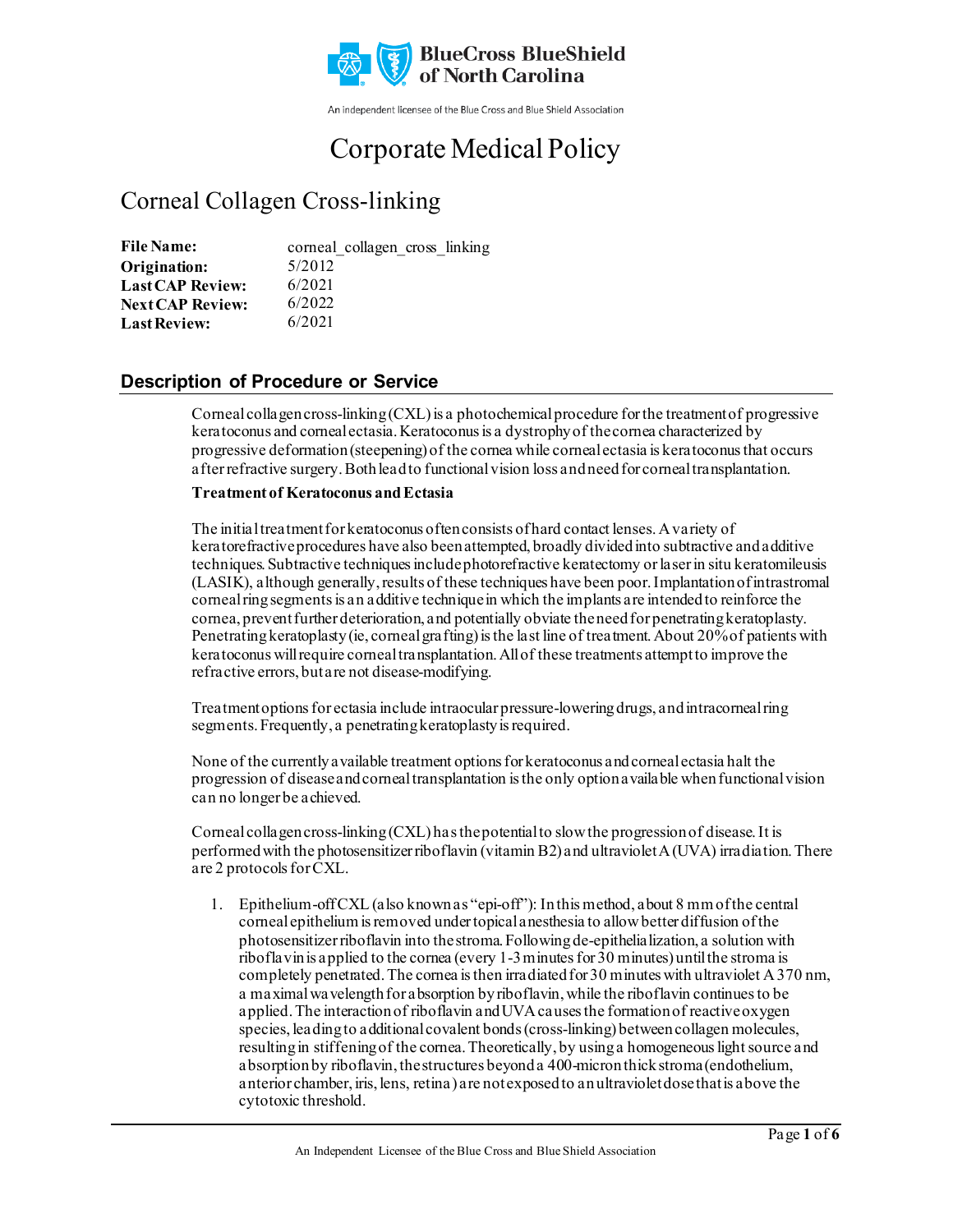

An independent licensee of the Blue Cross and Blue Shield Association

# Corporate Medical Policy

# Corneal Collagen Cross-linking

| <b>File Name:</b>       | corneal collagen cross linking |
|-------------------------|--------------------------------|
| Origination:            | 5/2012                         |
| <b>Last CAP Review:</b> | 6/2021                         |
| <b>Next CAP Review:</b> | 6/2022                         |
| <b>Last Review:</b>     | 6/2021                         |

### **Description of Procedure or Service**

Corneal collagen cross-linking  $(CXL)$  is a photochemical procedure for the treatment of progressive keratoconus and corneal ectasia. Keratoconus is a dystrophy of the cornea characterized by progressive deformation (steepening) of the cornea while corneal ectasia is keratoconus that occurs after refractive surgery. Both lead to functional vision loss and need for corneal transplantation.

#### **Treatment of Keratoconus and Ectasia**

The initial treatment for keratoconus often consists of hard contact lenses. A variety of keratorefractive procedures have also been attempted, broadly divided into subtractive and additive techniques. Subtractive techniques include photorefractive keratectomy or laser in situ keratomileusis (LASIK), although generally, results of these techniques have been poor. Implantation of intrastromal corneal ring segments is an additive technique in which the implants are intended to reinforce the cornea, prevent further deterioration, and potentially obviate the need for penetrating keratoplasty. Penetrating keratoplasty (ie, corneal grafting) is the last line of treatment. About 20% of patients with keratoconus will require corneal transplantation. All of these treatments attempt to improve the refractive errors, but are not disease-modifying.

Treatment options for ectasia include intraocular pressure-lowering drugs, and intracorneal ring segments. Frequently, a penetrating keratoplasty is required.

None of the currently available treatment options for keratoconus and corneal ectasia halt the progression of disease and corneal transplantation is the only option available when functional vision can no longer be achieved.

Corneal collagen cross-linking (CXL) has the potential to slow the progression of disease. It is performed with the photosensitizer riboflavin (vitamin B2) and ultraviolet A (UVA) irradiation. There are 2 protocols for CXL.

1. Epithelium-off CXL (also known as "epi-off"): In this method, about 8 mm of the central corneal epithelium is removed under topical anesthesia to allow better diffusion of the photosensitizer riboflavin into the stroma. Following de-epithelialization, a solution with riboflavin is applied to the cornea (every 1-3 minutes for 30 minutes) until the stroma is completely penetrated. The cornea is then irradiated for 30 minutes with ultraviolet A 370 nm, a maximal wavelength for absorption by riboflavin, while the riboflavin continues to be applied. The interaction of riboflavin and UVA causes the formation of reactive oxygen species, leading to additional covalent bonds (cross-linking) between collagen molecules, resulting in stiffening of the cornea. Theoretically, by using a homogeneous light source and absorption by riboflavin, the structures beyond a 400-micron thick stroma (endothelium, anterior chamber, iris, lens, retina) are not exposed to an ultraviolet dose that is above the cytotoxic threshold.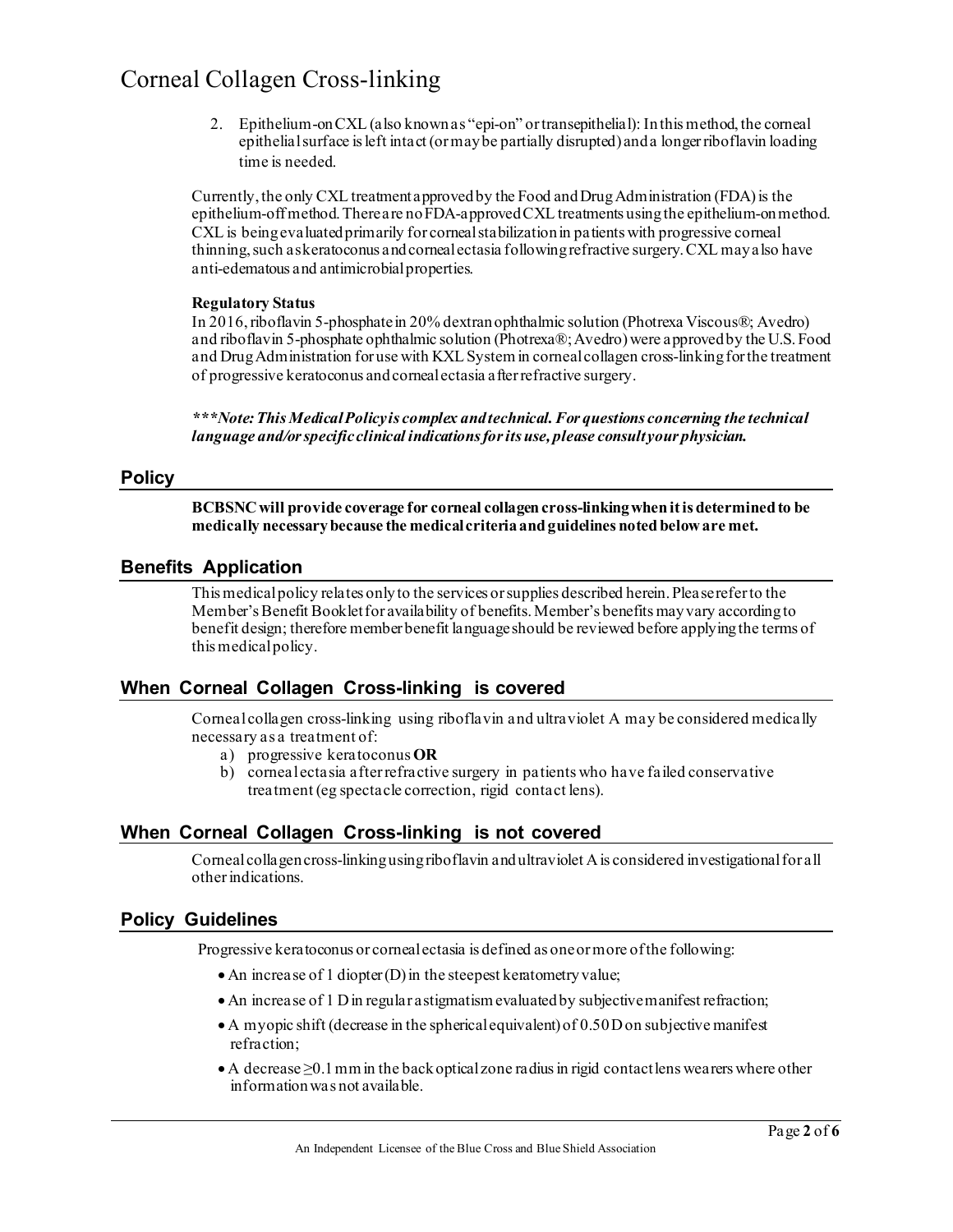2. Epithelium-on CXL (also known as "epi-on" or transepithelial): Inthis method, the corneal epithelial surface is left intact (or may be partially disrupted) and a longer riboflavin loading time is needed.

Currently, the only CXL treatment approved by the Food and Drug Administration (FDA) is the epithelium-off method.There are no FDA-approved CXL treatments using the epithelium-on method. CXL is being evaluated primarily for corneal stabilization in patients with progressive corneal thinning, such as keratoconus and corneal ectasia following refractive surgery. CXL may also have anti-edematous and antimicrobial properties.

#### **Regulatory Status**

In 2016, riboflavin 5-phosphate in 20% dextran ophthalmic solution (Photrexa Viscous®; Avedro) and riboflavin 5-phosphate ophthalmic solution (Photrexa®; Avedro) were approved by the U.S. Food and Drug Administration for use with KXL System in corneal collagen cross-linking for the treatment of progressive keratoconus and corneal ectasia after refractive surgery.

*\*\*\*Note: This Medical Policy is complex and technical. For questions concerning the technical language and/or specific clinical indications for its use, please consult your physician.*

#### **Policy**

**BCBSNC will provide coverage for corneal collagen cross-linkingwhen it is determined to be medically necessary because the medical criteria and guidelines noted below are met.** 

#### **Benefits Application**

This medical policy relates only to the services or supplies described herein. Please refer to the Member's Benefit Booklet for availability of benefits. Member's benefits may vary according to benefit design; therefore member benefit language should be reviewed before applying the terms of this medical policy.

#### **When Corneal Collagen Cross-linking is covered**

Corneal collagen cross-linking using riboflavin and ultraviolet A may be considered medically necessary as a treatment of:

- a) progressive keratoconus **OR**
- b) corneal ectasia after refractive surgery in patients who have failed conservative treatment (eg spectacle correction, rigid contact lens).

### **When Corneal Collagen Cross-linking is not covered**

Corneal collagen cross-linking using riboflavin and ultraviolet A is considered investigational for all other indications.

#### **Policy Guidelines**

Progressive keratoconus or corneal ectasia is defined as one or more of the following:

- An increase of 1 diopter (D) in the steepest keratometry value;
- An increase of 1 D in regular astigmatism evaluated by subjective manifest refraction;
- A myopic shift (decrease in the spherical equivalent) of 0.50 D on subjective manifest refraction;
- A decrease ≥0.1 mm in the back optical zone radius in rigid contact lens wearers where other information was not available.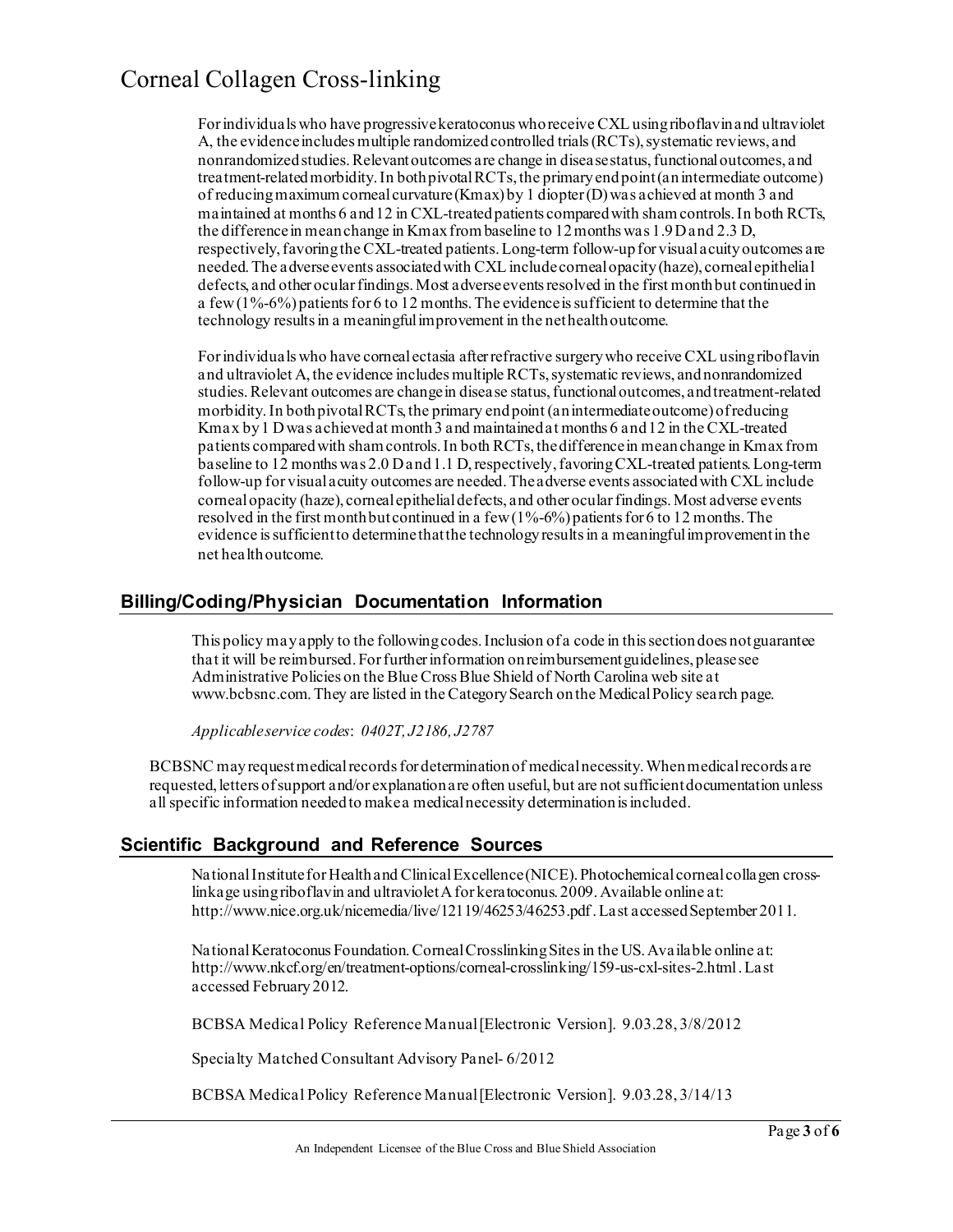For individuals who have progressive keratoconus who receive CXL using riboflavin and ultraviolet A, the evidence includes multiple randomized controlled trials (RCTs), systematic reviews, and nonrandomized studies. Relevant outcomes are change in disease status, functional outcomes, and treatment-related morbidity. In both pivotal RCTs, the primary end point (an intermediate outcome) of reducing maximum corneal curvature (Kmax) by 1 diopter (D) was achieved at month 3 and maintained at months 6 and 12 in CXL-treated patients compared with sham controls. In both RCTs, the difference in mean change in Kmax from baseline to 12 months was 1.9 D and 2.3 D, respectively, favoring the CXL-treated patients. Long-term follow-up for visual acuity outcomes are needed. The adverse events associated with CXL include corneal opacity (haze), corneal epithelial defects, and other ocular findings. Most adverse events resolved in the first month but continued in a few  $(1\% - 6\%)$  patients for 6 to 12 months. The evidence is sufficient to determine that the technology results in a meaningful improvement in the net health outcome.

For individuals who have corneal ectasia after refractive surgery who receive CXL using riboflavin and ultraviolet A, the evidence includes multiple RCTs, systematic reviews, and nonrandomized studies. Relevant outcomes are change in disease status, functional outcomes, and treatment-related morbidity. In both pivotal RCTs, the primary end point (an intermediate outcome) of reducing Kmax by 1 D was achieved at month 3 and maintained at months 6 and 12 in the CXL-treated patients compared with sham controls.In both RCTs, the difference in mean change in Kmax from baseline to 12 months was 2.0 D and 1.1 D, respectively, favoring CXL-treated patients. Long-term follow-up for visual acuity outcomes are needed. The adverse events associated with CXL include corneal opacity (haze), corneal epithelial defects, and other ocular findings. Most adverse events resolved in the first month but continued in a few  $(1% -6%)$  patients for 6 to 12 months. The evidence is sufficient to determine that the technology results in a meaningful improvement in the net health outcome.

### **Billing/Coding/Physician Documentation Information**

This policy may apply to the following codes. Inclusion of a code in this section does not guarantee that it will be reimbursed. For further information on reimbursement guidelines, please see Administrative Policies on the Blue Cross Blue Shield of North Carolina web site at www.bcbsnc.com. They are listed in the Category Search on the Medical Policy search page.

*Applicable service codes*: *0402T, J2186, J2787*

BCBSNC may request medical records for determination of medical necessity. When medical records are requested, letters of support and/or explanation are often useful, but are not sufficient documentation unless all specific information needed to make a medical necessity determination is included.

### **Scientific Background and Reference Sources**

National Institute for Health and Clinical Excellence (NICE). Photochemical corneal collagen crosslinkage using riboflavin and ultraviolet A for keratoconus. 2009. Available online at: http://www.nice.org.uk/nicemedia/live/12119/46253/46253.pdf. Last accessed September 2011.

National Keratoconus Foundation. Corneal Crosslinking Sites in the US. Available online at: http://www.nkcf.org/en/treatment-options/corneal-crosslinking/159-us-cxl-sites-2.html . Last accessed February 2012.

BCBSA Medical Policy Reference Manual [Electronic Version]. 9.03.28, 3/8/2012

Specialty Matched Consultant Advisory Panel- 6/2012

BCBSA Medical Policy Reference Manual [Electronic Version]. 9.03.28, 3/14/13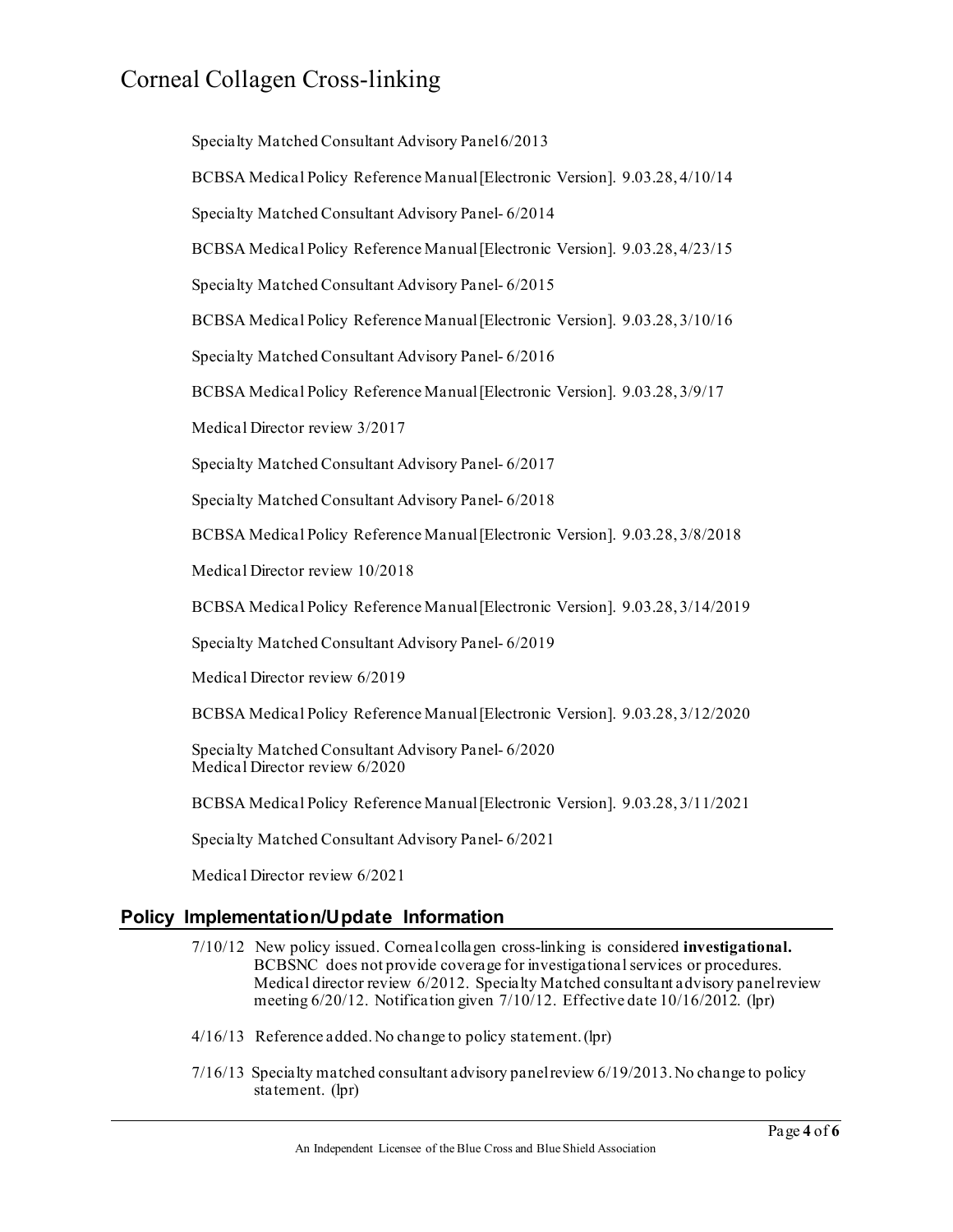Specialty Matched Consultant Advisory Panel 6/2013 BCBSA Medical Policy Reference Manual [Electronic Version]. 9.03.28, 4/10/14 Specialty Matched Consultant Advisory Panel- 6/2014 BCBSA Medical Policy Reference Manual [Electronic Version]. 9.03.28, 4/23/15 Specialty Matched Consultant Advisory Panel- 6/2015 BCBSA Medical Policy Reference Manual [Electronic Version]. 9.03.28, 3/10/16 Specialty Matched Consultant Advisory Panel- 6/2016 BCBSA Medical Policy Reference Manual [Electronic Version]. 9.03.28, 3/9/17 Medical Director review 3/2017 Specialty Matched Consultant Advisory Panel- 6/2017 Specialty Matched Consultant Advisory Panel- 6/2018 BCBSA Medical Policy Reference Manual [Electronic Version]. 9.03.28, 3/8/2018 Medical Director review 10/2018 BCBSA Medical Policy Reference Manual [Electronic Version]. 9.03.28, 3/14/2019 Specialty Matched Consultant Advisory Panel- 6/2019 Medical Director review 6/2019 BCBSA Medical Policy Reference Manual [Electronic Version]. 9.03.28, 3/12/2020 Specialty Matched Consultant Advisory Panel- 6/2020 Medical Director review 6/2020 BCBSA Medical Policy Reference Manual [Electronic Version]. 9.03.28, 3/11/2021 Specialty Matched Consultant Advisory Panel- 6/2021 Medical Director review 6/2021

### **Policy Implementation/Update Information**

- 7/10/12 New policy issued. Corneal collagen cross-linking is considered **investigational.** BCBSNC does not provide coverage for investigational services or procedures. Medical director review 6/2012. Specialty Matched consultant advisory panel review meeting 6/20/12. Notification given 7/10/12. Effective date 10/16/2012. (lpr)
- 4/16/13 Reference added. No change to policy statement. (lpr)
- 7/16/13 Specialty matched consultant advisory panel review 6/19/2013. No change to policy statement. (lpr)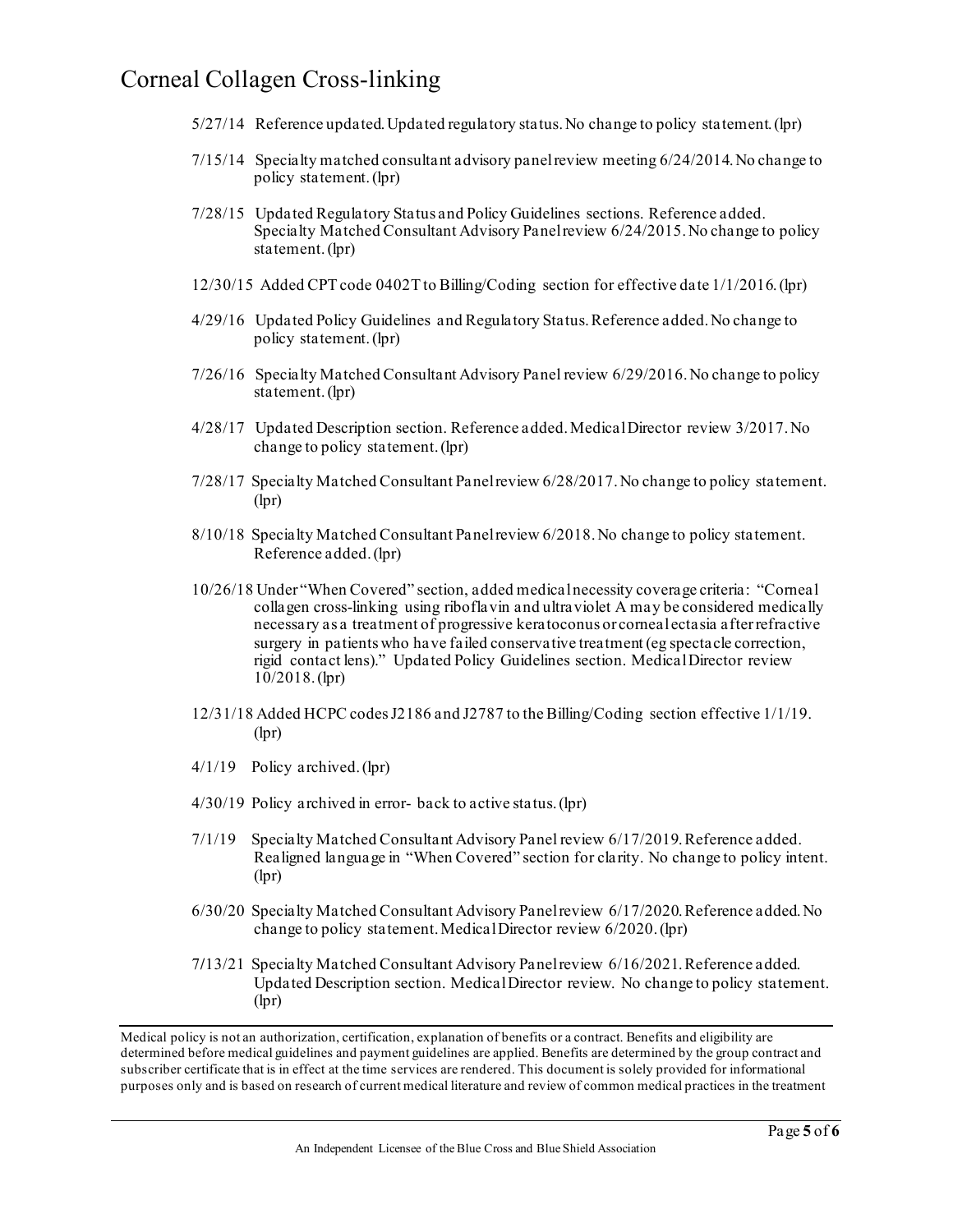- 5/27/14 Reference updated. Updated regulatory status. No change to policy statement. (lpr)
- 7/15/14 Specialty matched consultant advisory panel review meeting 6/24/2014. No change to policy statement. (lpr)
- 7/28/15 Updated Regulatory Status and Policy Guidelines sections. Reference added. Specialty Matched Consultant Advisory Panel review 6/24/2015. No change to policy statement. (lpr)
- 12/30/15 Added CPT code 0402T to Billing/Coding section for effective date 1/1/2016. (lpr)
- 4/29/16 Updated Policy Guidelines and Regulatory Status. Reference added. No change to policy statement. (lpr)
- 7/26/16 Specialty Matched Consultant Advisory Panel review 6/29/2016. No change to policy statement. (lpr)
- 4/28/17 Updated Description section. Reference added. Medical Director review 3/2017. No change to policy statement. (lpr)
- 7/28/17 Specialty Matched Consultant Panel review 6/28/2017. No change to policy statement. (lpr)
- 8/10/18 Specialty Matched Consultant Panel review 6/2018.No change to policy statement. Reference added. (lpr)
- 10/26/18 Under "When Covered" section, added medical necessity coverage criteria: "Corneal collagen cross-linking using riboflavin and ultraviolet A may be considered medically necessary as a treatment of progressive keratoconus or corneal ectasia after refractive surgery in patients who have failed conservative treatment (eg spectacle correction, rigid contact lens)." Updated Policy Guidelines section. Medical Director review 10/2018. (lpr)
- 12/31/18 Added HCPC codes J2186 and J2787 to the Billing/Coding section effective 1/1/19. (lpr)
- 4/1/19 Policy archived. (lpr)
- 4/30/19 Policy archived in error- back to active status. (lpr)
- 7/1/19 Specialty Matched Consultant Advisory Panel review 6/17/2019. Reference added. Realigned language in "When Covered" section for clarity. No change to policy intent. (lpr)
- 6/30/20 Specialty Matched Consultant Advisory Panel review 6/17/2020. Reference added. No change to policy statement. Medical Director review 6/2020. (lpr)
- 7**/**13/21 Specialty Matched Consultant Advisory Panel review 6/16/2021. Reference added. Updated Description section. MedicalDirector review. No change to policy statement. (lpr)

Medical policy is not an authorization, certification, explanation of benefits or a contract. Benefits and eligibility are determined before medical guidelines and payment guidelines are applied. Benefits are determined by the group contract and subscriber certificate that is in effect at the time services are rendered. This document is solely provided for informational purposes only and is based on research of current medical literature and review of common medical practices in the treatment